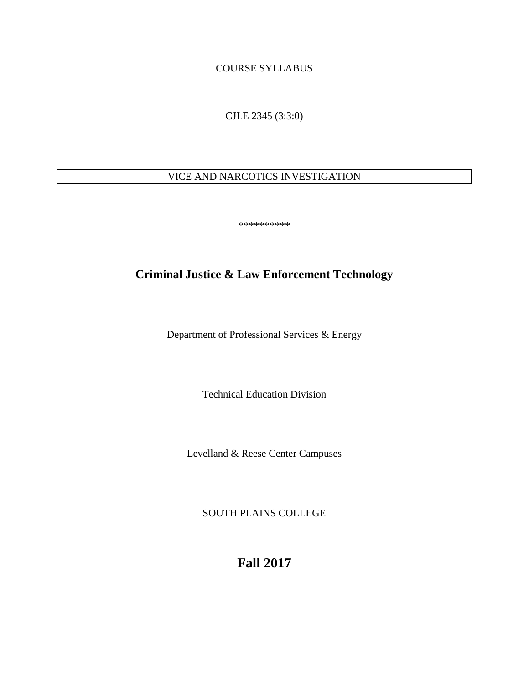COURSE SYLLABUS

CJLE 2345 (3:3:0)

# VICE AND NARCOTICS INVESTIGATION

\*\*\*\*\*\*\*\*\*\*

# **Criminal Justice & Law Enforcement Technology**

Department of Professional Services & Energy

Technical Education Division

Levelland & Reese Center Campuses

SOUTH PLAINS COLLEGE

**Fall 2017**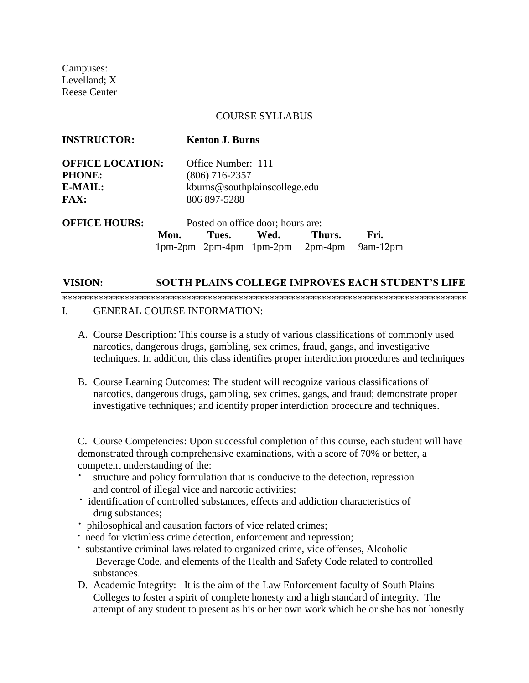Campuses: Levelland; X Reese Center

#### COURSE SYLLABUS

| <b>INSTRUCTOR:</b>      |                                   | <b>Kenton J. Burns</b>        |                                     |        |            |  |
|-------------------------|-----------------------------------|-------------------------------|-------------------------------------|--------|------------|--|
| <b>OFFICE LOCATION:</b> |                                   | Office Number: 111            |                                     |        |            |  |
| <b>PHONE:</b>           |                                   | $(806)$ 716-2357              |                                     |        |            |  |
| E-MAIL:                 |                                   | kburns@southplainscollege.edu |                                     |        |            |  |
| <b>FAX:</b>             |                                   | 806 897-5288                  |                                     |        |            |  |
| <b>OFFICE HOURS:</b>    | Posted on office door; hours are: |                               |                                     |        |            |  |
|                         | Mon.                              | Tues.                         | Wed.                                | Thurs. | Fri.       |  |
|                         |                                   |                               | $1pm-2pm$ 2pm-4pm $1pm-2pm$ 2pm-4pm |        | $9am-12pm$ |  |

## **VISION: SOUTH PLAINS COLLEGE IMPROVES EACH STUDENT'S LIFE**

\*\*\*\*\*\*\*\*\*\*\*\*\*\*\*\*\*\*\*\*\*\*\*\*\*\*\*\*\*\*\*\*\*\*\*\*\*\*\*\*\*\*\*\*\*\*\*\*\*\*\*\*\*\*\*\*\*\*\*\*\*\*\*\*\*\*\*\*\*\*\*\*\*\*\*\*\*\* I. GENERAL COURSE INFORMATION:

- A. Course Description: This course is a study of various classifications of commonly used narcotics, dangerous drugs, gambling, sex crimes, fraud, gangs, and investigative techniques. In addition, this class identifies proper interdiction procedures and techniques
- B. Course Learning Outcomes: The student will recognize various classifications of narcotics, dangerous drugs, gambling, sex crimes, gangs, and fraud; demonstrate proper investigative techniques; and identify proper interdiction procedure and techniques.

C. Course Competencies: Upon successful completion of this course, each student will have demonstrated through comprehensive examinations, with a score of 70% or better, a competent understanding of the:

- structure and policy formulation that is conducive to the detection, repression and control of illegal vice and narcotic activities;
- · identification of controlled substances, effects and addiction characteristics of drug substances;
- · philosophical and causation factors of vice related crimes;
- · need for victimless crime detection, enforcement and repression;
- · substantive criminal laws related to organized crime, vice offenses, Alcoholic Beverage Code, and elements of the Health and Safety Code related to controlled substances.
- D. Academic Integrity: It is the aim of the Law Enforcement faculty of South Plains Colleges to foster a spirit of complete honesty and a high standard of integrity. The attempt of any student to present as his or her own work which he or she has not honestly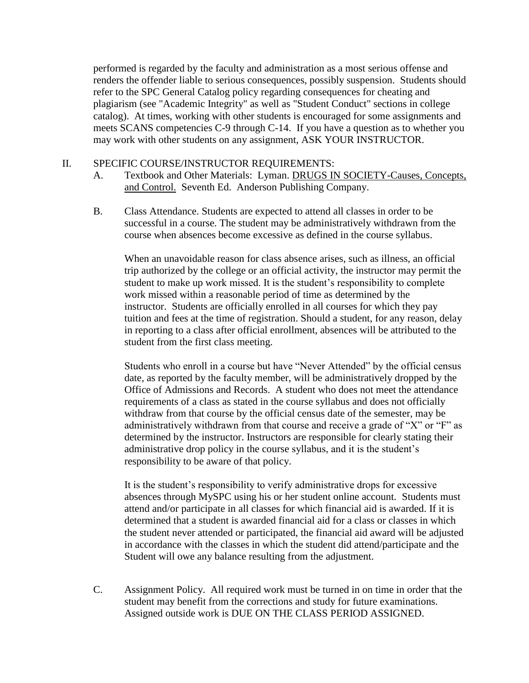performed is regarded by the faculty and administration as a most serious offense and renders the offender liable to serious consequences, possibly suspension. Students should refer to the SPC General Catalog policy regarding consequences for cheating and plagiarism (see "Academic Integrity" as well as "Student Conduct" sections in college catalog). At times, working with other students is encouraged for some assignments and meets SCANS competencies C-9 through C-14. If you have a question as to whether you may work with other students on any assignment, ASK YOUR INSTRUCTOR.

## II. SPECIFIC COURSE/INSTRUCTOR REQUIREMENTS:

- A. Textbook and Other Materials: Lyman. DRUGS IN SOCIETY-Causes, Concepts, and Control. Seventh Ed. Anderson Publishing Company.
- B. Class Attendance. Students are expected to attend all classes in order to be successful in a course. The student may be administratively withdrawn from the course when absences become excessive as defined in the course syllabus.

When an unavoidable reason for class absence arises, such as illness, an official trip authorized by the college or an official activity, the instructor may permit the student to make up work missed. It is the student's responsibility to complete work missed within a reasonable period of time as determined by the instructor. Students are officially enrolled in all courses for which they pay tuition and fees at the time of registration. Should a student, for any reason, delay in reporting to a class after official enrollment, absences will be attributed to the student from the first class meeting.

Students who enroll in a course but have "Never Attended" by the official census date, as reported by the faculty member, will be administratively dropped by the Office of Admissions and Records. A student who does not meet the attendance requirements of a class as stated in the course syllabus and does not officially withdraw from that course by the official census date of the semester, may be administratively withdrawn from that course and receive a grade of "X" or "F" as determined by the instructor. Instructors are responsible for clearly stating their administrative drop policy in the course syllabus, and it is the student's responsibility to be aware of that policy.

It is the student's responsibility to verify administrative drops for excessive absences through MySPC using his or her student online account. Students must attend and/or participate in all classes for which financial aid is awarded. If it is determined that a student is awarded financial aid for a class or classes in which the student never attended or participated, the financial aid award will be adjusted in accordance with the classes in which the student did attend/participate and the Student will owe any balance resulting from the adjustment.

C. Assignment Policy. All required work must be turned in on time in order that the student may benefit from the corrections and study for future examinations. Assigned outside work is DUE ON THE CLASS PERIOD ASSIGNED.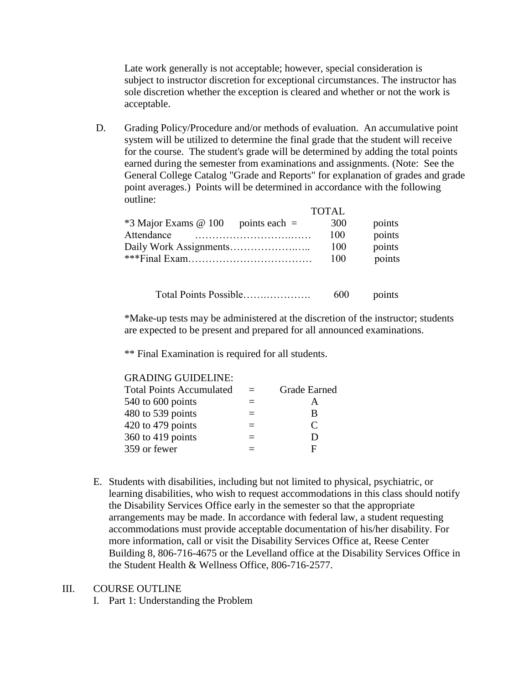Late work generally is not acceptable; however, special consideration is subject to instructor discretion for exceptional circumstances. The instructor has sole discretion whether the exception is cleared and whether or not the work is acceptable.

D. Grading Policy/Procedure and/or methods of evaluation. An accumulative point system will be utilized to determine the final grade that the student will receive for the course. The student's grade will be determined by adding the total points earned during the semester from examinations and assignments. (Note: See the General College Catalog "Grade and Reports" for explanation of grades and grade point averages.) Points will be determined in accordance with the following outline:

|                                         | <b>TOTAL</b> |        |  |  |
|-----------------------------------------|--------------|--------|--|--|
| *3 Major Exams @ 100<br>points each $=$ | 300          | points |  |  |
| Attendance                              | 100          | points |  |  |
|                                         | 100          | points |  |  |
|                                         | 100          | points |  |  |
|                                         |              |        |  |  |
| Total Points Possible                   | 600          | points |  |  |

\*Make-up tests may be administered at the discretion of the instructor; students are expected to be present and prepared for all announced examinations.

\*\* Final Examination is required for all students.

#### GRADING GUIDELINE:

| <b>Total Points Accumulated</b> | <b>Grade Earned</b>         |
|---------------------------------|-----------------------------|
| 540 to 600 points               | А                           |
| 480 to 539 points               | B                           |
| $420$ to $479$ points           | $\mathcal{C}_{\mathcal{C}}$ |
| $360$ to 419 points             | D                           |
| 359 or fewer                    | F                           |
|                                 |                             |

E. Students with disabilities, including but not limited to physical, psychiatric, or learning disabilities, who wish to request accommodations in this class should notify the Disability Services Office early in the semester so that the appropriate arrangements may be made. In accordance with federal law, a student requesting accommodations must provide acceptable documentation of his/her disability. For more information, call or visit the Disability Services Office at, Reese Center Building 8, 806-716-4675 or the Levelland office at the Disability Services Office in the Student Health & Wellness Office, 806-716-2577.

### III. COURSE OUTLINE

I. Part 1: Understanding the Problem